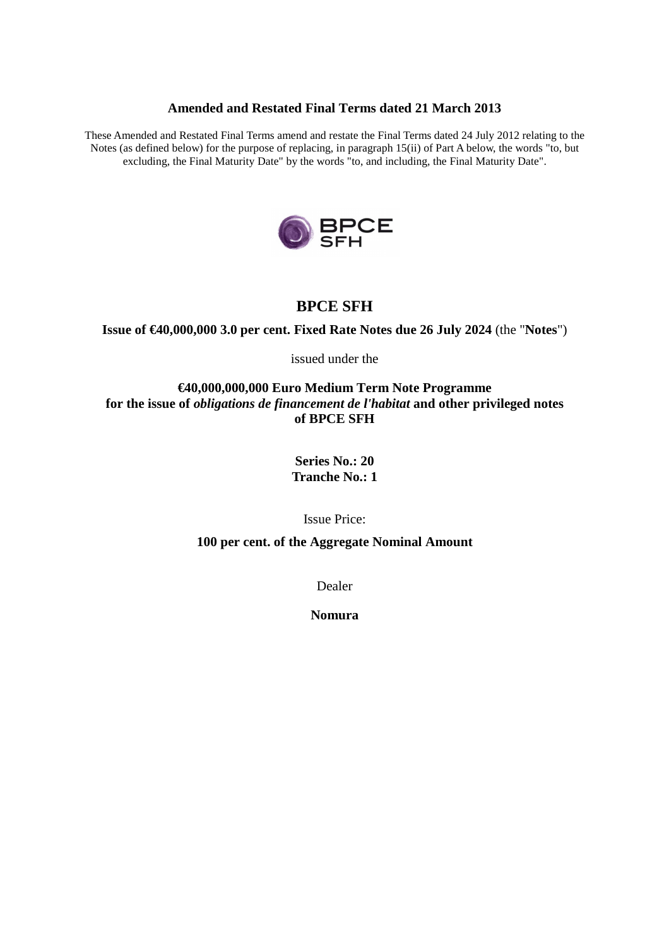## **Amended and Restated Final Terms dated 21 March 2013**

These Amended and Restated Final Terms amend and restate the Final Terms dated 24 July 2012 relating to the Notes (as defined below) for the purpose of replacing, in paragraph 15(ii) of Part A below, the words "to, but excluding, the Final Maturity Date" by the words "to, and including, the Final Maturity Date".



# **BPCE SFH**

**Issue of**  $\epsilon$ **40,000,000 3.0 per cent. Fixed Rate Notes due 26 July 2024** (the "Notes")

issued under the

**€40,000,000,000 Euro Medium Term Note Programme for the issue of** *obligations de financement de l'habitat* **and other privileged notes of BPCE SFH** 

> **Series No.: 20 Tranche No.: 1**

> > Issue Price:

**100 per cent. of the Aggregate Nominal Amount** 

Dealer

**Nomura**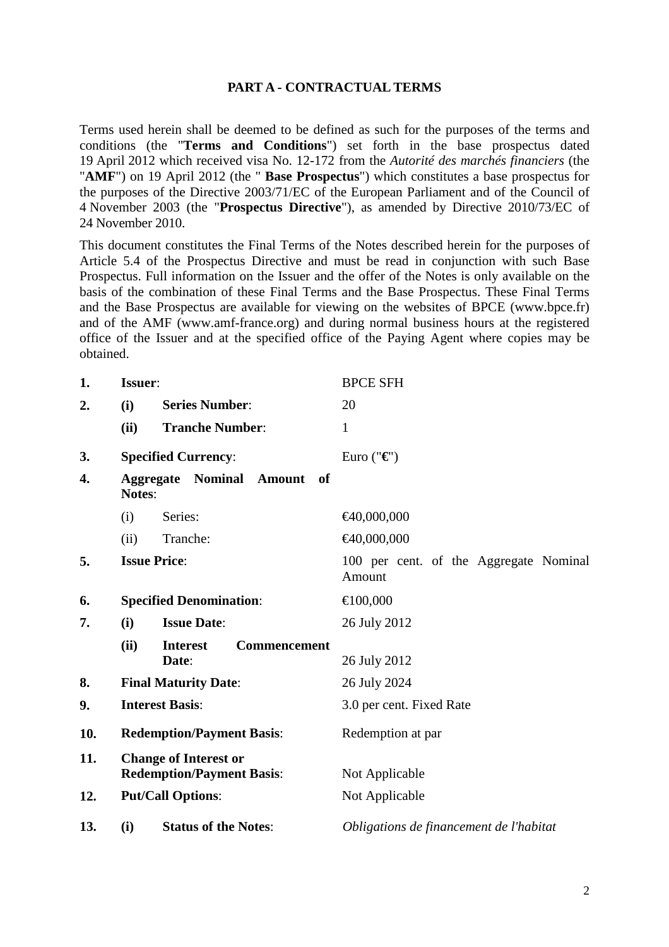## **PART A - CONTRACTUAL TERMS**

Terms used herein shall be deemed to be defined as such for the purposes of the terms and conditions (the "**Terms and Conditions**") set forth in the base prospectus dated 19 April 2012 which received visa No. 12-172 from the *Autorité des marchés financiers* (the "**AMF**") on 19 April 2012 (the " **Base Prospectus**") which constitutes a base prospectus for the purposes of the Directive 2003/71/EC of the European Parliament and of the Council of 4 November 2003 (the "**Prospectus Directive**"), as amended by Directive 2010/73/EC of 24 November 2010.

This document constitutes the Final Terms of the Notes described herein for the purposes of Article 5.4 of the Prospectus Directive and must be read in conjunction with such Base Prospectus. Full information on the Issuer and the offer of the Notes is only available on the basis of the combination of these Final Terms and the Base Prospectus. These Final Terms and the Base Prospectus are available for viewing on the websites of BPCE (www.bpce.fr) and of the AMF (www.amf-france.org) and during normal business hours at the registered office of the Issuer and at the specified office of the Paying Agent where copies may be obtained.

| 1.  | Issuer:                                                          |                                                 | <b>BPCE SFH</b>                                  |
|-----|------------------------------------------------------------------|-------------------------------------------------|--------------------------------------------------|
| 2.  | (i)                                                              | <b>Series Number:</b>                           | 20                                               |
|     | (ii)                                                             | <b>Tranche Number:</b>                          | $\mathbf{1}$                                     |
| 3.  |                                                                  | <b>Specified Currency:</b>                      | Euro (" $\mathbf{\in}$ ")                        |
| 4.  | Notes:                                                           | <b>Aggregate Nominal Amount</b><br>of           |                                                  |
|     | (i)                                                              | Series:                                         | €40,000,000                                      |
|     | (ii)                                                             | Tranche:                                        | €40,000,000                                      |
| 5.  |                                                                  | <b>Issue Price:</b>                             | 100 per cent. of the Aggregate Nominal<br>Amount |
| 6.  |                                                                  | <b>Specified Denomination:</b>                  | €100,000                                         |
| 7.  | (i)                                                              | <b>Issue Date:</b>                              | 26 July 2012                                     |
|     | (ii)                                                             | <b>Interest</b><br><b>Commencement</b><br>Date: | 26 July 2012                                     |
| 8.  |                                                                  | <b>Final Maturity Date:</b>                     | 26 July 2024                                     |
| 9.  |                                                                  | <b>Interest Basis:</b>                          | 3.0 per cent. Fixed Rate                         |
| 10. | <b>Redemption/Payment Basis:</b>                                 |                                                 | Redemption at par                                |
| 11. | <b>Change of Interest or</b><br><b>Redemption/Payment Basis:</b> |                                                 | Not Applicable                                   |
| 12. | <b>Put/Call Options:</b>                                         |                                                 | Not Applicable                                   |
| 13. | (i)                                                              | <b>Status of the Notes:</b>                     | Obligations de financement de l'habitat          |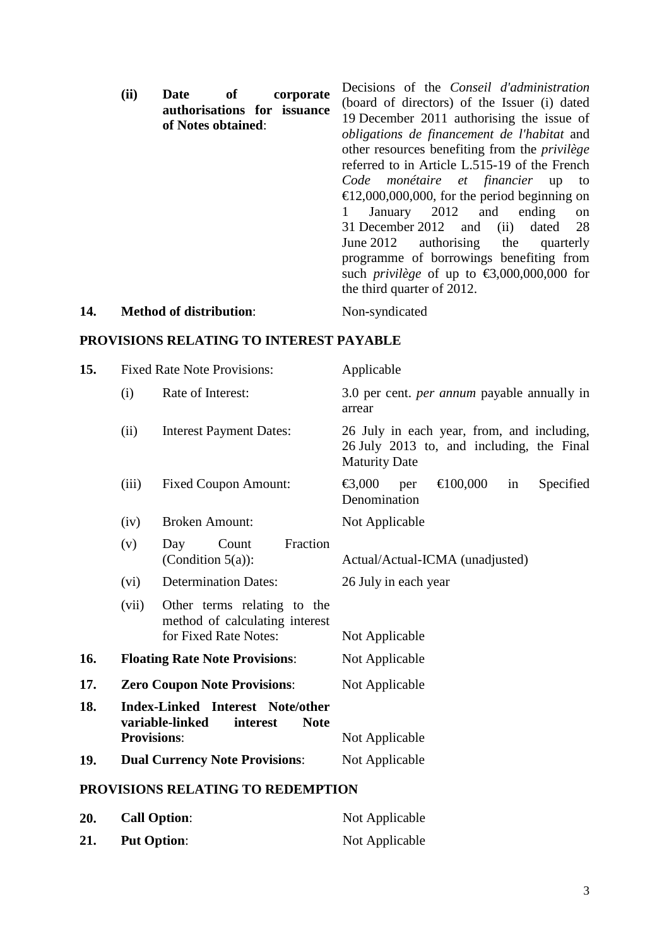|     | (ii) | <b>Date</b><br>0ľ<br>corporate<br>authorisations for issuance<br>of Notes obtained: | Decisions of the Conseil d'administration<br>(board of directors) of the Issuer (i) dated<br>19 December 2011 authorising the issue of<br>obligations de financement de l'habitat and<br>other resources benefiting from the <i>privilege</i><br>referred to in Article L.515-19 of the French<br>Code monétaire et financier up to<br>$\epsilon$ 12,000,000,000, for the period beginning on<br>January 2012 and<br>ending<br>on<br>31 December 2012 and $(ii)$<br>dated 28<br>authorising the<br>June $2012$<br>quarterly<br>programme of borrowings benefiting from<br>such <i>privilege</i> of up to $\text{\textsterling}3,000,000,000$ for<br>the third quarter of 2012. |
|-----|------|-------------------------------------------------------------------------------------|--------------------------------------------------------------------------------------------------------------------------------------------------------------------------------------------------------------------------------------------------------------------------------------------------------------------------------------------------------------------------------------------------------------------------------------------------------------------------------------------------------------------------------------------------------------------------------------------------------------------------------------------------------------------------------|
| 14. |      | <b>Method of distribution:</b>                                                      | Non-syndicated                                                                                                                                                                                                                                                                                                                                                                                                                                                                                                                                                                                                                                                                 |

# **PROVISIONS RELATING TO INTEREST PAYABLE**

| 15. |                                                                                                      | <b>Fixed Rate Note Provisions:</b>                                                     | Applicable                                                                                                      |
|-----|------------------------------------------------------------------------------------------------------|----------------------------------------------------------------------------------------|-----------------------------------------------------------------------------------------------------------------|
|     | (i)                                                                                                  | Rate of Interest:                                                                      | 3.0 per cent. <i>per annum</i> payable annually in<br>arrear                                                    |
|     | (ii)                                                                                                 | <b>Interest Payment Dates:</b>                                                         | 26 July in each year, from, and including,<br>26 July 2013 to, and including, the Final<br><b>Maturity Date</b> |
|     | (iii)                                                                                                | <b>Fixed Coupon Amount:</b>                                                            | €100,000<br>€3,000<br>Secified<br>per<br>in<br>Denomination                                                     |
|     | (iv)                                                                                                 | <b>Broken Amount:</b>                                                                  | Not Applicable                                                                                                  |
|     | (v)                                                                                                  | Fraction<br>Count<br>Day<br>(Condition $5(a)$ ):                                       | Actual/Actual-ICMA (unadjusted)                                                                                 |
|     | (vi)                                                                                                 | <b>Determination Dates:</b>                                                            | 26 July in each year                                                                                            |
|     | (vii)                                                                                                | Other terms relating to the<br>method of calculating interest<br>for Fixed Rate Notes: | Not Applicable                                                                                                  |
| 16. |                                                                                                      | <b>Floating Rate Note Provisions:</b>                                                  | Not Applicable                                                                                                  |
| 17. |                                                                                                      | <b>Zero Coupon Note Provisions:</b>                                                    | Not Applicable                                                                                                  |
| 18. | Index-Linked Interest Note/other<br>variable-linked<br>interest<br><b>Note</b><br><b>Provisions:</b> |                                                                                        | Not Applicable                                                                                                  |
| 19. |                                                                                                      | <b>Dual Currency Note Provisions:</b>                                                  | Not Applicable                                                                                                  |
|     |                                                                                                      |                                                                                        |                                                                                                                 |
|     |                                                                                                      | PROVISIONS RELATING TO REDEMPTION                                                      |                                                                                                                 |

| 20. | <b>Call Option:</b> | Not Applicable |
|-----|---------------------|----------------|
| 21. | <b>Put Option:</b>  | Not Applicable |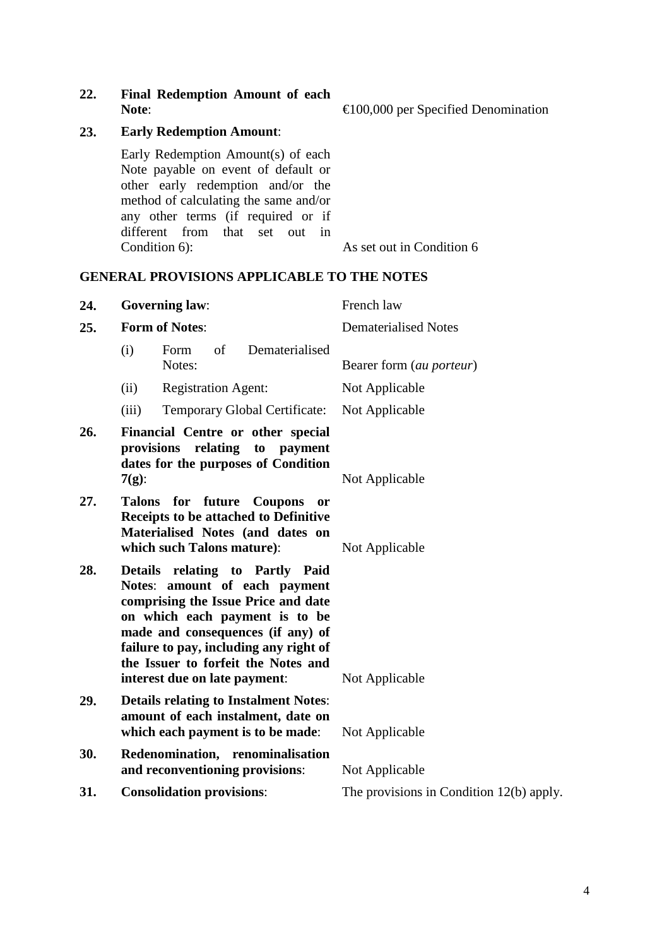**22. Final Redemption Amount of each** 

# **23. Early Redemption Amount**:

Early Redemption Amount(s) of each Note payable on event of default or other early redemption and/or the method of calculating the same and/or any other terms (if required or if different from that set out in Condition 6): As set out in Condition 6

**Note**: €100,000 per Specified Denomination

# **GENERAL PROVISIONS APPLICABLE TO THE NOTES**

| 24. | <b>Governing law:</b>                                                                                                  |                                                                                                                                                                                                                                                                                                  | French law                                 |  |
|-----|------------------------------------------------------------------------------------------------------------------------|--------------------------------------------------------------------------------------------------------------------------------------------------------------------------------------------------------------------------------------------------------------------------------------------------|--------------------------------------------|--|
| 25. |                                                                                                                        | <b>Form of Notes:</b>                                                                                                                                                                                                                                                                            | <b>Dematerialised Notes</b>                |  |
|     | (i)                                                                                                                    | Dematerialised<br>of<br>Form<br>Notes:                                                                                                                                                                                                                                                           | Bearer form (au porteur)                   |  |
|     | (ii)                                                                                                                   | <b>Registration Agent:</b>                                                                                                                                                                                                                                                                       | Not Applicable                             |  |
|     | (iii)                                                                                                                  | Temporary Global Certificate:                                                                                                                                                                                                                                                                    | Not Applicable                             |  |
| 26. | Financial Centre or other special<br>provisions relating to payment<br>dates for the purposes of Condition<br>$7(g)$ : |                                                                                                                                                                                                                                                                                                  | Not Applicable                             |  |
| 27. |                                                                                                                        | Talons for future Coupons<br><b>or</b><br>Receipts to be attached to Definitive<br>Materialised Notes (and dates on<br>which such Talons mature):                                                                                                                                                | Not Applicable                             |  |
| 28. |                                                                                                                        | Details relating to Partly Paid<br>Notes: amount of each payment<br>comprising the Issue Price and date<br>on which each payment is to be<br>made and consequences (if any) of<br>failure to pay, including any right of<br>the Issuer to forfeit the Notes and<br>interest due on late payment: | Not Applicable                             |  |
| 29. |                                                                                                                        | <b>Details relating to Instalment Notes:</b><br>amount of each instalment, date on<br>which each payment is to be made:                                                                                                                                                                          | Not Applicable                             |  |
| 30. |                                                                                                                        | Redenomination, renominalisation<br>and reconventioning provisions:                                                                                                                                                                                                                              | Not Applicable                             |  |
| 31. |                                                                                                                        | <b>Consolidation provisions:</b>                                                                                                                                                                                                                                                                 | The provisions in Condition $12(b)$ apply. |  |
|     |                                                                                                                        |                                                                                                                                                                                                                                                                                                  |                                            |  |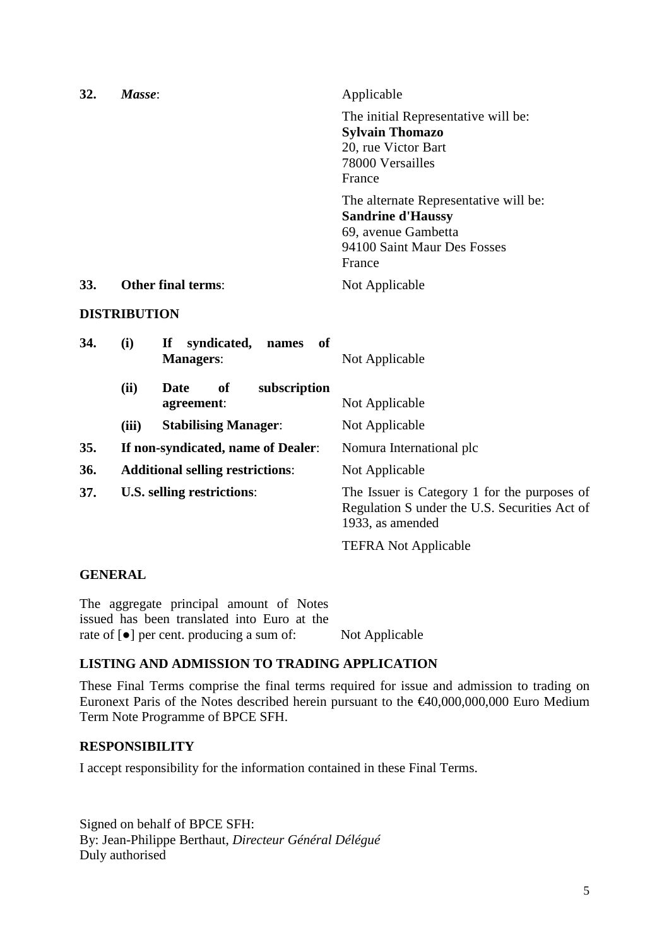| 32. | Masse:              |                                                      | Applicable                                                                                                                        |
|-----|---------------------|------------------------------------------------------|-----------------------------------------------------------------------------------------------------------------------------------|
|     |                     |                                                      | The initial Representative will be:<br><b>Sylvain Thomazo</b><br>20, rue Victor Bart<br>78000 Versailles<br>France                |
|     |                     |                                                      | The alternate Representative will be:<br><b>Sandrine d'Haussy</b><br>69, avenue Gambetta<br>94100 Saint Maur Des Fosses<br>France |
| 33. |                     | <b>Other final terms:</b>                            | Not Applicable                                                                                                                    |
|     | <b>DISTRIBUTION</b> |                                                      |                                                                                                                                   |
| 34. | (i)                 | If<br>syndicated,<br>of<br>names<br><b>Managers:</b> | Not Applicable                                                                                                                    |
|     | (ii)                | subscription<br>Date<br>of<br>agreement:             | Not Applicable                                                                                                                    |
|     | (iii)               | <b>Stabilising Manager:</b>                          | Not Applicable                                                                                                                    |
| 35. |                     | If non-syndicated, name of Dealer:                   | Nomura International plc                                                                                                          |
| 36. |                     | <b>Additional selling restrictions:</b>              | Not Applicable                                                                                                                    |
| 37. |                     | <b>U.S. selling restrictions:</b>                    | The Issuer is Category 1 for the purposes of                                                                                      |

Regulation S under the U.S. Securities Act of 1933, as amended

TEFRA Not Applicable

# **GENERAL**

The aggregate principal amount of Notes issued has been translated into Euro at the rate of [●] per cent. producing a sum of: Not Applicable

# **LISTING AND ADMISSION TO TRADING APPLICATION**

These Final Terms comprise the final terms required for issue and admission to trading on Euronext Paris of the Notes described herein pursuant to the  $\epsilon$ 40,000,000,000 Euro Medium Term Note Programme of BPCE SFH.

# **RESPONSIBILITY**

I accept responsibility for the information contained in these Final Terms.

Signed on behalf of BPCE SFH: By: Jean-Philippe Berthaut, *Directeur Général Délégué* Duly authorised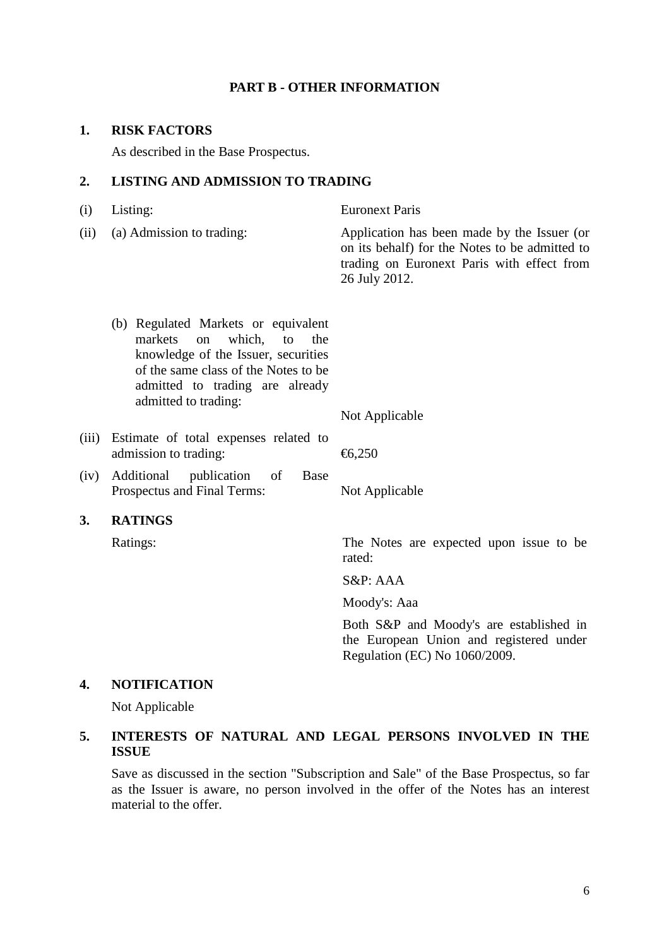#### **PART B - OTHER INFORMATION**

#### **1. RISK FACTORS**

As described in the Base Prospectus.

#### **2. LISTING AND ADMISSION TO TRADING**

(i) Listing: Euronext Paris (ii) (a) Admission to trading: Application has been made by the Issuer (or on its behalf) for the Notes to be admitted to trading on Euronext Paris with effect from 26 July 2012. (b) Regulated Markets or equivalent markets on which, to the knowledge of the Issuer, securities of the same class of the Notes to be admitted to trading are already admitted to trading: Not Applicable (iii) Estimate of total expenses related to admission to trading:  $\epsilon$ 6,250 (iv) Additional publication of Base Prospectus and Final Terms: Not Applicable **3. RATINGS**  Ratings: The Notes are expected upon issue to be rated: S&P: AAA Moody's: Aaa

> Both S&P and Moody's are established in the European Union and registered under Regulation (EC) No 1060/2009.

## **4. NOTIFICATION**

Not Applicable

# **5. INTERESTS OF NATURAL AND LEGAL PERSONS INVOLVED IN THE ISSUE**

Save as discussed in the section "Subscription and Sale" of the Base Prospectus, so far as the Issuer is aware, no person involved in the offer of the Notes has an interest material to the offer.